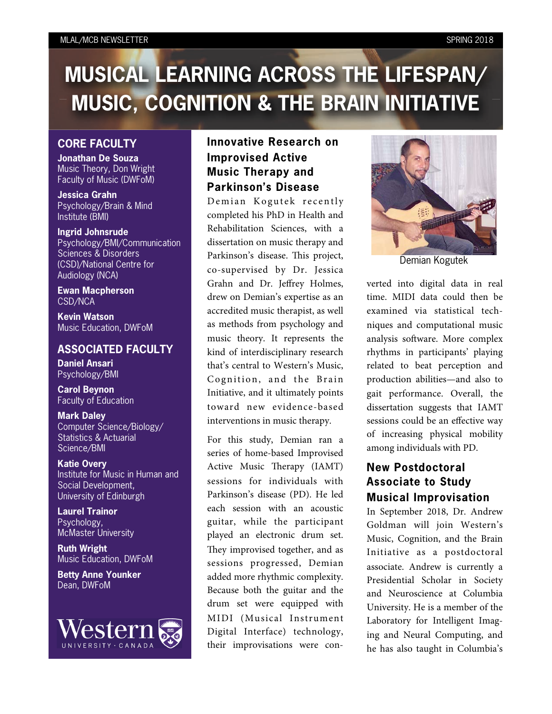#### MLAL/MCB NEWSLETTER SPRING 2018

# **MUSICAL LEARNING ACROSS THE LIFESPAN/ MUSIC, COGNITION & THE BRAIN INITIATIVE**

## **CORE FACULTY**

**Jonathan De Souza** Music Theory, Don Wright Faculty of Music (DWFoM)

**Jessica Grahn** Psychology/Brain & Mind Institute (BMI)

**Ingrid Johnsrude** Psychology/BMI/Communication Sciences & Disorders (CSD)/National Centre for Audiology (NCA)

**Ewan Macpherson** CSD/NCA

**Kevin Watson** Music Education, DWFoM

### **ASSOCIATED FACULTY**

**Daniel Ansari** Psychology/BMI

**Carol Beynon** Faculty of Education

**Mark Daley** Computer Science/Biology/ Statistics & Actuarial Science/BMI

**Katie Overy** Institute for Music in Human and Social Development, University of Edinburgh

**Laurel Trainor** Psychology, McMaster University

**Ruth Wright** Music Education, DWFoM

**Betty Anne Younker** Dean, DWFoM



# **Innovative Research on Improvised Active Music Therapy and Parkinson's Disease**

Demian Kogutek recently completed his PhD in Health and Rehabilitation Sciences, with a dissertation on music therapy and Parkinson's disease. This project, co-supervised by Dr. Jessica Grahn and Dr. Jeffrey Holmes, drew on Demian's expertise as an accredited music therapist, as well as methods from psychology and music theory. It represents the kind of interdisciplinary research that's central to Western's Music, Cognition, and the Brain Initiative, and it ultimately points toward new evidence-based interventions in music therapy.

For this study, Demian ran a series of home-based Improvised Active Music Therapy (IAMT) sessions for individuals with Parkinson's disease (PD). He led each session with an acoustic guitar, while the participant played an electronic drum set. They improvised together, and as sessions progressed, Demian added more rhythmic complexity. Because both the guitar and the drum set were equipped with MIDI (Musical Instrument Digital Interface) technology, their improvisations were con-



Demian Kogutek

verted into digital data in real time. MIDI data could then be examined via statistical techniques and computational music analysis software. More complex rhythms in participants' playing related to beat perception and production abilities—and also to gait performance. Overall, the dissertation suggests that IAMT sessions could be an effective way of increasing physical mobility among individuals with PD.

# **New Postdoctoral Associate to Study Musical Improvisation**

In September 2018, Dr. Andrew Goldman will join Western's Music, Cognition, and the Brain Initiative as a postdoctoral associate. Andrew is currently a Presidential Scholar in Society and Neuroscience at Columbia University. He is a member of the Laboratory for Intelligent Imaging and Neural Computing, and he has also taught in Columbia's